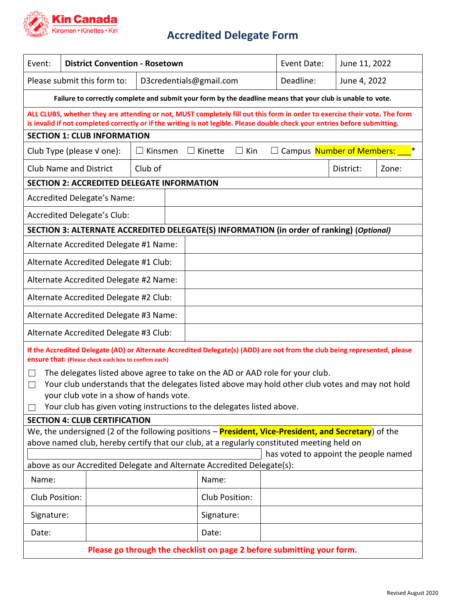

## **Accredited Delegate Form**

| Event:                                                                                                                                                                                                                                                    |                               | <b>District Convention - Rosetown</b> |  |                                                                  |           | Event Date:<br>June 11, 2022 |       |  |  |
|-----------------------------------------------------------------------------------------------------------------------------------------------------------------------------------------------------------------------------------------------------------|-------------------------------|---------------------------------------|--|------------------------------------------------------------------|-----------|------------------------------|-------|--|--|
| Please submit this form to:<br>D3credentials@gmail.com                                                                                                                                                                                                    |                               |                                       |  |                                                                  | Deadline: | June 4, 2022                 |       |  |  |
| Failure to correctly complete and submit your form by the deadline means that your club is unable to vote.                                                                                                                                                |                               |                                       |  |                                                                  |           |                              |       |  |  |
| ALL CLUBS, whether they are attending or not, MUST completely fill out this form in order to exercise their vote. The form<br>is invalid if not completed correctly or if the writing is not legible. Please double check your entries before submitting. |                               |                                       |  |                                                                  |           |                              |       |  |  |
| <b>SECTION 1: CLUB INFORMATION</b>                                                                                                                                                                                                                        |                               |                                       |  |                                                                  |           |                              |       |  |  |
| Club Type (please V one):<br>Kinsmen                                                                                                                                                                                                                      |                               |                                       |  | □ Campus Number of Members:<br>∗<br>$\Box$ Kin<br>$\Box$ Kinette |           |                              |       |  |  |
|                                                                                                                                                                                                                                                           | <b>Club Name and District</b> | Club of                               |  |                                                                  |           | District:                    | Zone: |  |  |
| <b>SECTION 2: ACCREDITED DELEGATE INFORMATION</b>                                                                                                                                                                                                         |                               |                                       |  |                                                                  |           |                              |       |  |  |
| Accredited Delegate's Name:                                                                                                                                                                                                                               |                               |                                       |  |                                                                  |           |                              |       |  |  |
| Accredited Delegate's Club:                                                                                                                                                                                                                               |                               |                                       |  |                                                                  |           |                              |       |  |  |
| SECTION 3: ALTERNATE ACCREDITED DELEGATE(S) INFORMATION (in order of ranking) (Optional)                                                                                                                                                                  |                               |                                       |  |                                                                  |           |                              |       |  |  |
| Alternate Accredited Delegate #1 Name:                                                                                                                                                                                                                    |                               |                                       |  |                                                                  |           |                              |       |  |  |
| Alternate Accredited Delegate #1 Club:                                                                                                                                                                                                                    |                               |                                       |  |                                                                  |           |                              |       |  |  |
| Alternate Accredited Delegate #2 Name:                                                                                                                                                                                                                    |                               |                                       |  |                                                                  |           |                              |       |  |  |
| Alternate Accredited Delegate #2 Club:                                                                                                                                                                                                                    |                               |                                       |  |                                                                  |           |                              |       |  |  |
| Alternate Accredited Delegate #3 Name:                                                                                                                                                                                                                    |                               |                                       |  |                                                                  |           |                              |       |  |  |
| Alternate Accredited Delegate #3 Club:                                                                                                                                                                                                                    |                               |                                       |  |                                                                  |           |                              |       |  |  |
| If the Accredited Delegate (AD) or Alternate Accredited Delegate(s) (ADD) are not from the club being represented, please<br>ensure that: (Please check each box to confirm each)                                                                         |                               |                                       |  |                                                                  |           |                              |       |  |  |
| The delegates listed above agree to take on the AD or AAD role for your club.<br>$\mathbf{I}$                                                                                                                                                             |                               |                                       |  |                                                                  |           |                              |       |  |  |
| Your club understands that the delegates listed above may hold other club votes and may not hold<br>$\Box$                                                                                                                                                |                               |                                       |  |                                                                  |           |                              |       |  |  |
| your club vote in a show of hands vote.                                                                                                                                                                                                                   |                               |                                       |  |                                                                  |           |                              |       |  |  |
| Your club has given voting instructions to the delegates listed above.                                                                                                                                                                                    |                               |                                       |  |                                                                  |           |                              |       |  |  |
| <b>SECTION 4: CLUB CERTIFICATION</b>                                                                                                                                                                                                                      |                               |                                       |  |                                                                  |           |                              |       |  |  |
| We, the undersigned (2 of the following positions – <b>President, Vice-President, and Secretary</b> ) of the<br>above named club, hereby certify that our club, at a regularly constituted meeting held on                                                |                               |                                       |  |                                                                  |           |                              |       |  |  |
| has voted to appoint the people named                                                                                                                                                                                                                     |                               |                                       |  |                                                                  |           |                              |       |  |  |
| above as our Accredited Delegate and Alternate Accredited Delegate(s):                                                                                                                                                                                    |                               |                                       |  |                                                                  |           |                              |       |  |  |
| Name:                                                                                                                                                                                                                                                     |                               |                                       |  | Name:                                                            |           |                              |       |  |  |
| Club Position:                                                                                                                                                                                                                                            |                               |                                       |  | Club Position:                                                   |           |                              |       |  |  |
| Signature:                                                                                                                                                                                                                                                |                               |                                       |  | Signature:                                                       |           |                              |       |  |  |
| Date:                                                                                                                                                                                                                                                     |                               |                                       |  | Date:                                                            |           |                              |       |  |  |
| Please go through the checklist on page 2 before submitting your form.                                                                                                                                                                                    |                               |                                       |  |                                                                  |           |                              |       |  |  |